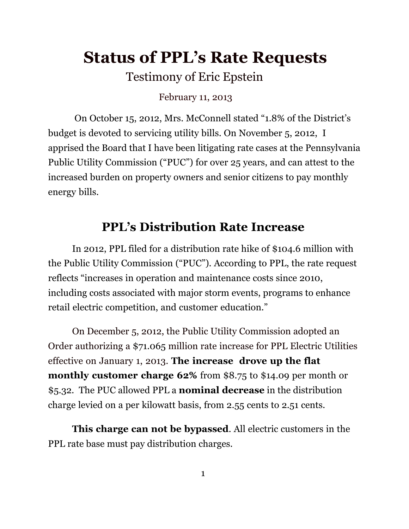# **Status of PPL's Rate Requests**

Testimony of Eric Epstein

February 11, 2013

On October 15, 2012, Mrs. McConnell stated "1.8% of the District's budget is devoted to servicing utility bills. On November 5, 2012, I apprised the Board that I have been litigating rate cases at the Pennsylvania Public Utility Commission ("PUC") for over 25 years, and can attest to the increased burden on property owners and senior citizens to pay monthly energy bills.

## **PPL's Distribution Rate Increase**

In 2012, PPL filed for a distribution rate hike of \$104.6 million with the Public Utility Commission ("PUC"). According to PPL, the rate request reflects "increases in operation and maintenance costs since 2010, including costs associated with major storm events, programs to enhance retail electric competition, and customer education."

On December 5, 2012, the Public Utility Commission adopted an Order authorizing a \$71.065 million rate increase for PPL Electric Utilities effective on January 1, 2013. **The increase drove up the flat monthly customer charge 62%** from \$8.75 to \$14.09 per month or \$5.32. The PUC allowed PPL a **nominal decrease** in the distribution charge levied on a per kilowatt basis, from 2.55 cents to 2.51 cents.

**This charge can not be bypassed**. All electric customers in the PPL rate base must pay distribution charges.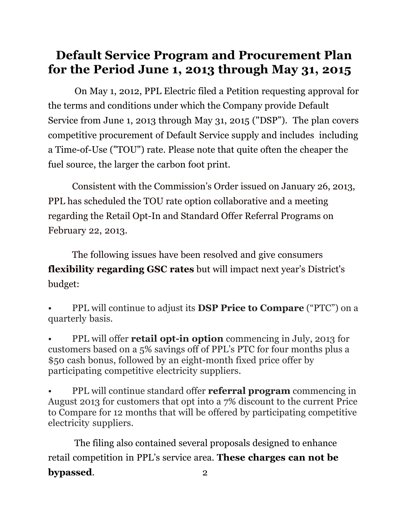# **Default Service Program and Procurement Plan for the Period June 1, 2013 through May 31, 2015**

On May 1, 2012, PPL Electric filed a Petition requesting approval for the terms and conditions under which the Company provide Default Service from June 1, 2013 through May 31, 2015 ("DSP"). The plan covers competitive procurement of Default Service supply and includes including a Time-of-Use ("TOU") rate. Please note that quite often the cheaper the fuel source, the larger the carbon foot print.

Consistent with the Commission's Order issued on January 26, 2013, PPL has scheduled the TOU rate option collaborative and a meeting regarding the Retail Opt-In and Standard Offer Referral Programs on February 22, 2013.

The following issues have been resolved and give consumers **flexibility regarding GSC rates** but will impact next year's District's budget:

• PPL will continue to adjust its **DSP Price to Compare** ("PTC") on a quarterly basis.

• PPL will offer **retail opt-in option** commencing in July, 2013 for customers based on a 5% savings off of PPL's PTC for four months plus a \$50 cash bonus, followed by an eight-month fixed price offer by participating competitive electricity suppliers.

• PPL will continue standard offer **referral program** commencing in August 2013 for customers that opt into a 7% discount to the current Price to Compare for 12 months that will be offered by participating competitive electricity suppliers.

The filing also contained several proposals designed to enhance retail competition in PPL's service area. **These charges can not be bypassed.** 2